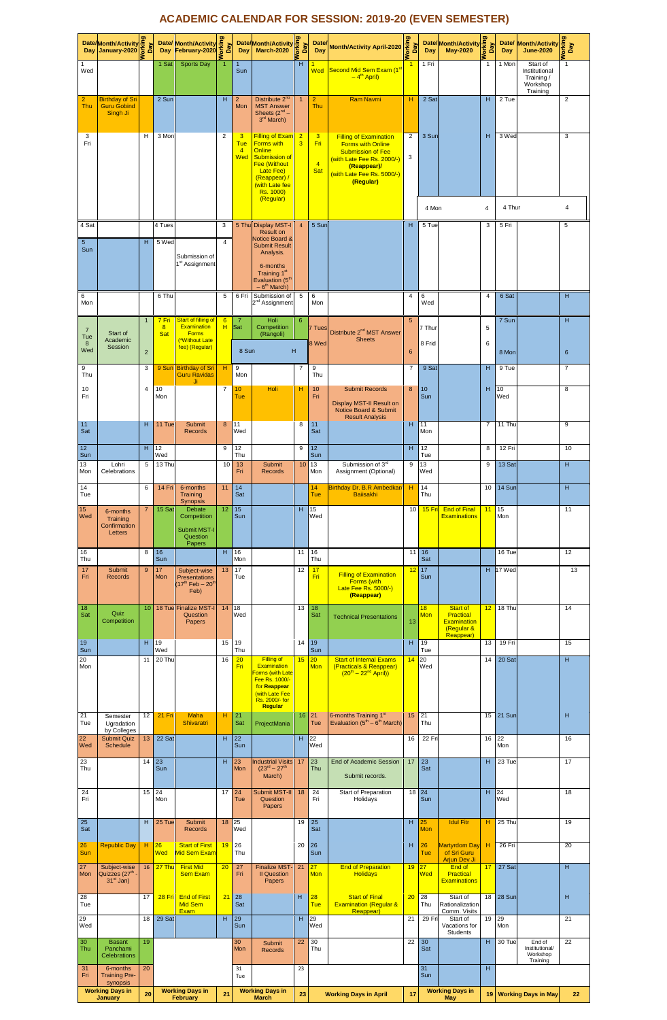## **ACADEMIC CALENDAR FOR SESSION: 2019-20 (EVEN SEMESTER)**

|                       | Date/Month/Activity<br>Day January-2020 5                                                |                | Day                      | Month/Activity<br>February-2020 5<br><b>Date/ Month/Activity</b>                       |                |                                          | Date/Month/Activity                                                                                                                                                                  | Δãγ                 | <b>Date</b><br>Day                       | <b>Month/Activity April-2020</b>                                                                                                                                              | orking<br>Day   |                  | Date/Month/Activity                                                           | Day                 | Date/<br>Day     | <b>Month/Activity</b><br><b>June-2020</b>                      | king<br>Day<br>ŏ. |
|-----------------------|------------------------------------------------------------------------------------------|----------------|--------------------------|----------------------------------------------------------------------------------------|----------------|------------------------------------------|--------------------------------------------------------------------------------------------------------------------------------------------------------------------------------------|---------------------|------------------------------------------|-------------------------------------------------------------------------------------------------------------------------------------------------------------------------------|-----------------|------------------|-------------------------------------------------------------------------------|---------------------|------------------|----------------------------------------------------------------|-------------------|
| 1<br>Wed              |                                                                                          |                | 1 Sat                    | <b>Sports Day</b>                                                                      |                | -1<br>Sun                                |                                                                                                                                                                                      | H                   | 1<br>Wed                                 | Second Mid Sem Exam (1 <sup>st</sup><br>$-4th$ April)                                                                                                                         |                 | 1 Fri            |                                                                               | $\mathbf{1}$        | 1 Mon            | Start of<br>Institutional<br>Training/<br>Workshop<br>Training | $\mathbf{1}$      |
| $\overline{2}$<br>Thu | <b>Birthday of Sri</b><br><b>Guru Gobind</b><br>Singh Ji                                 |                | 2 Sun                    |                                                                                        | H              | $\overline{2}$<br>Mon                    | Distribute 2 <sup>nd</sup><br><b>MST Answer</b><br>Sheets $(2^{nd} -$<br>3 <sup>rd</sup> March)                                                                                      |                     | $\overline{\mathbf{c}}$<br>Thu           | <b>Ram Navmi</b>                                                                                                                                                              | н               | 2 Sat            |                                                                               | н                   | 2 Tue            |                                                                | $\overline{2}$    |
| 3<br>Fri              |                                                                                          | H              | 3 Mor                    |                                                                                        | $\overline{2}$ | 3<br><b>Tue</b><br>$\overline{4}$<br>Wed | <b>Filling of Exam</b><br><b>Forms with</b><br>Online<br><b>Submission of</b><br><b>Fee (Without</b><br><b>Late Fee)</b><br>(Reappear) /<br>(with Late fee<br>Rs. 1000)<br>(Regular) | $\overline{2}$<br>3 | 3<br>Fri<br>$\overline{4}$<br><b>Sat</b> | <b>Filling of Examination</b><br><b>Forms with Online</b><br><b>Submission of Fee</b><br>(with Late Fee Rs. 2000/-)<br>(Reappear)/<br>(with Late Fee Rs. 5000/-)<br>(Regular) | 2<br>3          | 3 Sun<br>4 Mon   |                                                                               | н<br>$\overline{4}$ | 3 Wec<br>4 Thur  |                                                                | 3<br>4            |
| 4 Sat                 |                                                                                          |                | 4 Tues                   |                                                                                        | 3              |                                          | 5 Thu Display MST-I<br><b>Result on</b>                                                                                                                                              | $\overline{a}$      | 5 Sur                                    |                                                                                                                                                                               | H               | 5 Tue            |                                                                               | 3                   | 5 Fri            |                                                                | 5                 |
| 5<br>Sun              |                                                                                          | H              | 5 Wed                    | Submission of<br>1 <sup>st</sup> Assignment                                            | $\overline{4}$ |                                          | Notice Board &<br><b>Submit Result</b><br>Analysis.<br>6-months<br>Training 1 <sup>st</sup><br>Evaluation (5 <sup>th</sup><br>$-6th$ March)                                          |                     |                                          |                                                                                                                                                                               |                 |                  |                                                                               |                     |                  |                                                                |                   |
| 6<br>Mon              |                                                                                          |                | 6 Thu                    |                                                                                        | 5              | 6 Fri                                    | Submission of<br>2 <sup>nd</sup> Assignment                                                                                                                                          | 5                   | 6<br>Mon                                 |                                                                                                                                                                               | 4               | 6<br>Wed         |                                                                               | 4                   | 6 Sat            |                                                                | н                 |
| $\overline{7}$<br>Tue | Start of<br>Academic                                                                     | $\mathbf{1}$   | 7 Fri<br>8<br><b>Sat</b> | Start of filling of<br><b>Examination</b><br><b>Forms</b><br>(*Without Late            | 6<br>н         | 7<br>Sat                                 | Holi<br>Competition<br>(Rangoli)                                                                                                                                                     | 6                   | 7 Tues                                   | Distribute 2 <sup>nd</sup> MST Answer<br><b>Sheets</b>                                                                                                                        | $5\phantom{.0}$ | 7 Thur           |                                                                               | 5                   | 7 Sun            |                                                                | н                 |
| 8<br>Wed              | Session                                                                                  | $\overline{2}$ |                          | fee) (Regular)                                                                         |                | 8 Sun                                    |                                                                                                                                                                                      | н                   | 8 Wed                                    |                                                                                                                                                                               | $6\phantom{1}6$ | 8 Frid           |                                                                               | 6                   | 8 Mon            |                                                                | $\boldsymbol{6}$  |
| 9<br>Thu              |                                                                                          | 3              | 9 Sun                    | <b>Birthday of Sri</b><br><b>Guru Ravidas</b><br>Ji.                                   | н              | 9<br>Mon                                 |                                                                                                                                                                                      | 7                   | 9<br>Thu                                 |                                                                                                                                                                               | $\overline{7}$  | 9 Sat            |                                                                               | н                   | 9 Tue            |                                                                | $\overline{7}$    |
| 10<br>Fri             |                                                                                          | 4              | 10<br>Mon                |                                                                                        | $\overline{7}$ | 10 <sub>1</sub><br>Tue                   | Holi                                                                                                                                                                                 | н                   | 10<br>Fri                                | <b>Submit Records</b><br>Display MST-II Result on<br>Notice Board & Submit<br><b>Result Analysis</b>                                                                          | 8               | 10<br>Sun        |                                                                               | H                   | 10<br>Wed        |                                                                | 8                 |
| 11<br>Sat             |                                                                                          | H              | 11 Tue                   | Submit<br><b>Records</b>                                                               | 8              | 11<br>Wed                                |                                                                                                                                                                                      | 8                   | 11<br>Sat                                |                                                                                                                                                                               | н               | 11<br>Mon        |                                                                               | $\overline{7}$      | 11 Thu           |                                                                | 9                 |
| 12<br>Sun             |                                                                                          | H              | 12<br>Wed                |                                                                                        | 9              | 12<br>Thu                                |                                                                                                                                                                                      | 9                   | 12<br>Sun                                |                                                                                                                                                                               | H               | 12<br>Tue        |                                                                               | 8                   | 12 Fri           |                                                                | 10                |
| 13<br>Mon             | Lohri<br>Celebrations                                                                    | 5              | 13 Thu                   |                                                                                        | 10             | 13<br>Fri                                | Submit<br><b>Records</b>                                                                                                                                                             | 10                  | 13<br>Mon                                | Submission of 3rd<br>Assignment (Optional)                                                                                                                                    | 9               | 13<br>Wed        |                                                                               | 9                   | 13 Sat           |                                                                | H                 |
| 14<br>Tue             |                                                                                          | 6              | 14 Fri                   | 6-months<br>Training                                                                   | 11             | 14<br>Sat                                |                                                                                                                                                                                      |                     | 14<br>Tue                                | Birthday Dr. B.R Ambedkar/<br><b>Bailsakhi</b>                                                                                                                                | н               | 14<br>Thu        |                                                                               | 10                  | 14 Sun           |                                                                | н                 |
| 15<br>Wed             | 6-months<br>Training<br>Confirmation<br>Letters                                          | 7              | 15 Sat                   | Synopsis<br>Debate<br>Competition<br><b>Submit MST-I</b><br>Question<br>Papers         | 12             | 15<br>Sun                                |                                                                                                                                                                                      | н                   | 15<br>Wed                                |                                                                                                                                                                               | 10              | $15$ Fr          | <b>End of Final</b><br><b>Examinations</b>                                    | 11                  | 15<br>Mon        |                                                                | 11                |
| 16<br>Thu             |                                                                                          | 8              | 16<br>Sun                |                                                                                        | H              | 16<br>Mon                                |                                                                                                                                                                                      | 11                  | 16<br>Thu                                |                                                                                                                                                                               |                 | $11$   16<br>Sat |                                                                               |                     | 16 Tue           |                                                                | 12                |
| 17<br>Fri             | <b>Submit</b><br><b>Records</b>                                                          | 9              | 17<br>Mon                | Subject-wise<br><b>Presentations</b><br>$17^{\text{th}}$ Feb $ 20^{\text{th}}$<br>Feb) | 13             | 17<br>Tue                                |                                                                                                                                                                                      | 12                  | 17<br>Fri                                | <b>Filling of Examination</b><br>Forms (with<br>Late Fee Rs. 5000/-)<br>(Reappear)                                                                                            | 12              | 17<br>Sun        |                                                                               | н                   | 17 Wed           |                                                                | 13                |
| 18<br>Sat             | Quiz<br>Competition                                                                      | 10             |                          | 18 Tue Finalize MST-I<br>Question<br>Papers                                            | 14             | 18<br>Wed                                |                                                                                                                                                                                      | 13                  | 18<br>Sat                                | <b>Technical Presentations</b>                                                                                                                                                | 13              | 18<br>Mon        | <b>Start of</b><br>Practical<br><b>Examination</b><br>(Regular &<br>Reappear) | 12                  | 18 Thu           |                                                                | 14                |
| 19<br>Sun<br>20       |                                                                                          | H<br>11        | 19<br>Wed<br>20 Thu      |                                                                                        | 15<br>16       | 19<br>Thu<br>20                          | <b>Filling of</b>                                                                                                                                                                    | 14<br>15            | 19<br>Sun<br>20                          | <b>Start of Internal Exams</b>                                                                                                                                                | н<br>14         | 19<br>Tue<br>20  |                                                                               | 13<br>14            | 19 Fri<br>20 Sat |                                                                | 15<br>н           |
| Mon                   |                                                                                          |                |                          |                                                                                        |                | Fri                                      | Examination<br>Forms (with Late<br>Fee Rs. 1000/-<br>for Reappear<br>(with Late Fee<br>Rs. 2000/- for<br>Regular                                                                     |                     | <b>Mon</b>                               | (Practicals & Reappear)<br>$(20^{th} - 22^{nd}$ April))                                                                                                                       |                 | Wed              |                                                                               |                     |                  |                                                                |                   |
| 21<br>Tue             | Semester<br>Ugradation<br>by Colleges                                                    | 12             | <b>21 Fri</b>            | Maha<br>Shivaratri                                                                     | H              | 21<br>Sat                                | ProjectMania                                                                                                                                                                         | 16                  | 21<br>Tue                                | 6-months Training 1st<br>Evaluation $(5th - 6th March)$                                                                                                                       | 15              | 21<br>Thu        |                                                                               | 15                  | 21 Sun           |                                                                | н                 |
| 22<br>Wed             | <b>Submit Quiz</b><br><b>Schedule</b>                                                    | 13             | 22 Sat                   |                                                                                        | H              | 22<br>Sun                                |                                                                                                                                                                                      | H                   | 22<br>Wed                                |                                                                                                                                                                               | 16              | 22 Fri           |                                                                               | 16                  | 22<br>Mon        |                                                                | 16                |
| 23<br>Thu             |                                                                                          | 14             | 23<br>Sun                |                                                                                        | H              | 23<br>Mon                                | <b>ndustrial Visits</b><br>$(23^{rd} - 27^{th}$<br>March)                                                                                                                            | 17                  | 23<br>Thu                                | <b>End of Academic Session</b><br>Submit records.                                                                                                                             | 17              | 23<br>Sat        |                                                                               | н                   | 23 Tue           |                                                                | 17                |
| 24<br>Fri             |                                                                                          | 15             | 24<br>Mon                |                                                                                        | 17             | 24<br>Tue                                | <b>Submit MST-II</b><br>Question<br>Papers                                                                                                                                           | 18                  | 24<br>Fri                                | Start of Preparation<br>Holidays                                                                                                                                              | 18              | 24<br>Sun        |                                                                               | H                   | 24<br>Wed        |                                                                | 18                |
| 25<br>Sat             |                                                                                          | H              | 25 Tue                   | Submit<br><b>Records</b>                                                               | 18             | 25<br>Wed                                |                                                                                                                                                                                      | 19                  | 25<br>Sat                                |                                                                                                                                                                               | H               | 25<br>Mon        | <b>Idul Fitr</b>                                                              | н                   | 25 Thu           |                                                                | 19                |
| 26<br>Sun             | <b>Republic Day</b>                                                                      | Η.             | 26<br>Wed                | <b>Start of First</b><br>Mid Sem Exam                                                  | 19             | 26<br>Thu                                |                                                                                                                                                                                      | 20                  | 26<br>Sun                                |                                                                                                                                                                               | н               | 26<br>Tue        | <b>Martyrdom Day</b><br>of Sri Guru<br><b>Arjun Dev Ji</b>                    | H                   | 26 Fri           |                                                                | 20                |
| 27<br>Mon             | Subject-wise<br>Quizzes (27 <sup>th</sup><br>$31st$ Jan)                                 | 16             | 27 Thu                   | <b>First Mid</b><br><b>Sem Exam</b>                                                    | 20             | 27<br>Fri                                | <b>Finalize MST</b><br><b>II Question</b><br>Papers                                                                                                                                  | 21                  | 27<br><b>Mon</b>                         | <b>End of Preparation</b><br><b>Holidays</b>                                                                                                                                  | 19              | 27<br>Wed        | End of<br>Practical<br><b>Examinations</b>                                    | 17                  | 27 Sat           |                                                                | н                 |
| 28<br>Tue             |                                                                                          | 17             | 28 Fri                   | <b>End of First</b><br><b>Mid Sem</b><br>Exam                                          | 21             | 28<br>Sat                                |                                                                                                                                                                                      | н                   | 28<br><b>Tue</b>                         | <b>Start of Final</b><br><b>Examination (Regular &amp;</b><br>Reappear)                                                                                                       | 20              | 28<br>Thu        | Start of<br>Rationalization<br>Comm. Visits                                   | 18                  | 28 Sun           |                                                                | H                 |
| 29<br>Wed             |                                                                                          | 18             | 29 Sat                   |                                                                                        | $\overline{H}$ | 29<br>Sun                                |                                                                                                                                                                                      | $\overline{H}$      | 29<br>Wed                                |                                                                                                                                                                               | 21              | 29 Fr            | Start of<br>Vacations for<br>Students                                         | 19                  | 29<br>Mon        |                                                                | 21                |
| 30<br>Thu             | <b>Basant</b><br>Panchami<br><b>Celebrations</b>                                         | 19             |                          |                                                                                        |                | 30<br>Mon                                | Submit<br><b>Records</b>                                                                                                                                                             | 22                  | 30<br>Thu                                |                                                                                                                                                                               | 22              | 30<br>Sat        |                                                                               | H                   | 30 Tue           | End of<br>Institutional/<br>Workshop<br>Training               | 22                |
| 31<br>Fri             | 6-months<br><b>Training Pre-</b><br>synopsis<br><b>Working Days in</b><br><b>January</b> | 20<br>20       |                          | <b>Working Days in</b><br><b>February</b>                                              | 21             | 31<br>Tue                                | <b>Working Days in</b><br><b>March</b>                                                                                                                                               | 23<br>23            |                                          | <b>Working Days in April</b>                                                                                                                                                  | 17              | 31<br>Sun        | <b>Working Days in</b><br><b>May</b>                                          | H<br>19             |                  | <b>Working Days in May</b>                                     | 22                |